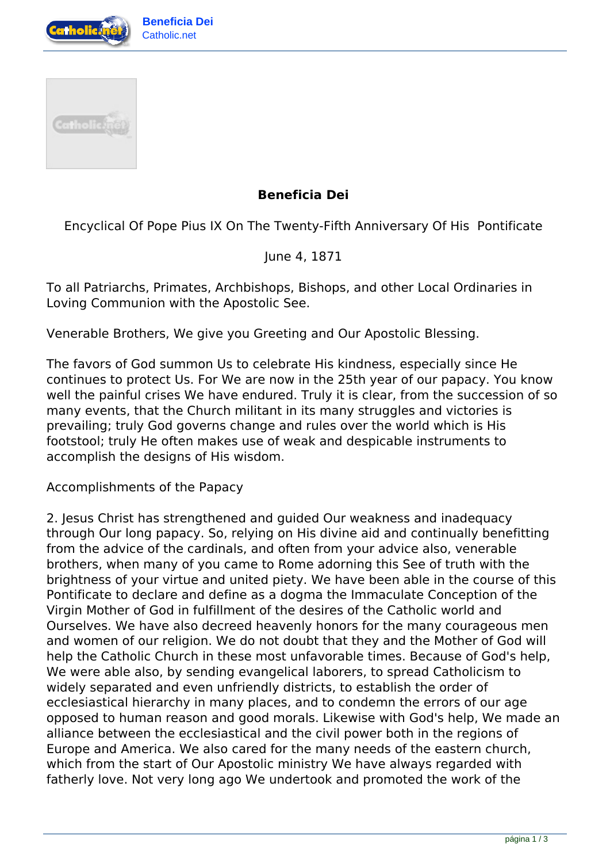



## **Beneficia Dei**

Encyclical Of Pope Pius IX On The Twenty-Fifth Anniversary Of His Pontificate

June 4, 1871

To all Patriarchs, Primates, Archbishops, Bishops, and other Local Ordinaries in Loving Communion with the Apostolic See.

Venerable Brothers, We give you Greeting and Our Apostolic Blessing.

The favors of God summon Us to celebrate His kindness, especially since He continues to protect Us. For We are now in the 25th year of our papacy. You know well the painful crises We have endured. Truly it is clear, from the succession of so many events, that the Church militant in its many struggles and victories is prevailing; truly God governs change and rules over the world which is His footstool; truly He often makes use of weak and despicable instruments to accomplish the designs of His wisdom.

Accomplishments of the Papacy

2. Jesus Christ has strengthened and guided Our weakness and inadequacy through Our long papacy. So, relying on His divine aid and continually benefitting from the advice of the cardinals, and often from your advice also, venerable brothers, when many of you came to Rome adorning this See of truth with the brightness of your virtue and united piety. We have been able in the course of this Pontificate to declare and define as a dogma the Immaculate Conception of the Virgin Mother of God in fulfillment of the desires of the Catholic world and Ourselves. We have also decreed heavenly honors for the many courageous men and women of our religion. We do not doubt that they and the Mother of God will help the Catholic Church in these most unfavorable times. Because of God's help, We were able also, by sending evangelical laborers, to spread Catholicism to widely separated and even unfriendly districts, to establish the order of ecclesiastical hierarchy in many places, and to condemn the errors of our age opposed to human reason and good morals. Likewise with God's help, We made an alliance between the ecclesiastical and the civil power both in the regions of Europe and America. We also cared for the many needs of the eastern church, which from the start of Our Apostolic ministry We have always regarded with fatherly love. Not very long ago We undertook and promoted the work of the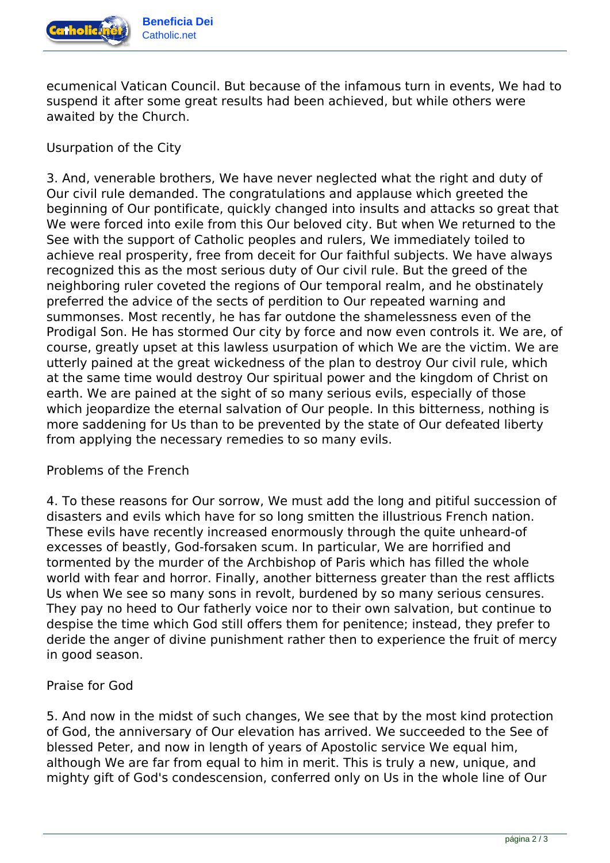

ecumenical Vatican Council. But because of the infamous turn in events, We had to suspend it after some great results had been achieved, but while others were awaited by the Church.

Usurpation of the City

3. And, venerable brothers, We have never neglected what the right and duty of Our civil rule demanded. The congratulations and applause which greeted the beginning of Our pontificate, quickly changed into insults and attacks so great that We were forced into exile from this Our beloved city. But when We returned to the See with the support of Catholic peoples and rulers, We immediately toiled to achieve real prosperity, free from deceit for Our faithful subjects. We have always recognized this as the most serious duty of Our civil rule. But the greed of the neighboring ruler coveted the regions of Our temporal realm, and he obstinately preferred the advice of the sects of perdition to Our repeated warning and summonses. Most recently, he has far outdone the shamelessness even of the Prodigal Son. He has stormed Our city by force and now even controls it. We are, of course, greatly upset at this lawless usurpation of which We are the victim. We are utterly pained at the great wickedness of the plan to destroy Our civil rule, which at the same time would destroy Our spiritual power and the kingdom of Christ on earth. We are pained at the sight of so many serious evils, especially of those which jeopardize the eternal salvation of Our people. In this bitterness, nothing is more saddening for Us than to be prevented by the state of Our defeated liberty from applying the necessary remedies to so many evils.

## Problems of the French

4. To these reasons for Our sorrow, We must add the long and pitiful succession of disasters and evils which have for so long smitten the illustrious French nation. These evils have recently increased enormously through the quite unheard-of excesses of beastly, God-forsaken scum. In particular, We are horrified and tormented by the murder of the Archbishop of Paris which has filled the whole world with fear and horror. Finally, another bitterness greater than the rest afflicts Us when We see so many sons in revolt, burdened by so many serious censures. They pay no heed to Our fatherly voice nor to their own salvation, but continue to despise the time which God still offers them for penitence; instead, they prefer to deride the anger of divine punishment rather then to experience the fruit of mercy in good season.

## Praise for God

5. And now in the midst of such changes, We see that by the most kind protection of God, the anniversary of Our elevation has arrived. We succeeded to the See of blessed Peter, and now in length of years of Apostolic service We equal him, although We are far from equal to him in merit. This is truly a new, unique, and mighty gift of God's condescension, conferred only on Us in the whole line of Our